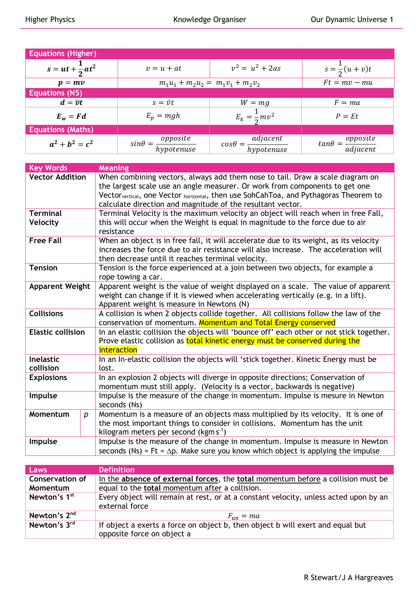| <b>Equations (Higher)</b>  |                                           |                                           |                                         |
|----------------------------|-------------------------------------------|-------------------------------------------|-----------------------------------------|
| $s = ut + \frac{1}{2}at^2$ | $v = u + at$                              | $v^2 = u^2 + 2as$                         | $s = \frac{1}{2}(u + v)t$               |
| $p = mv$                   | $m_1u_1 + m_2u_2 = m_1v_1 + m_2v_2$       |                                           | $Ft = mv - mu$                          |
| <b>Equations (N5)</b>      |                                           |                                           |                                         |
| $d = \overline{\nu}t$      | $s = \bar{v}t$                            | $W = mg$                                  | $F = ma$                                |
| $E_w = Fd$                 | $E_p = mgh$                               | $E_k = \frac{1}{2}mv^2$                   | $P = Et$                                |
| <b>Equations (Maths)</b>   |                                           |                                           |                                         |
| $a^2 + b^2 = c^2$          | $sin\theta = \frac{opposite}{hypotenuse}$ | $cos\theta = \frac{adjacent}{hypotenuse}$ | $tan\theta = \frac{opposite}{adjacent}$ |

| <b>Key Words</b>         |                  | <b>Meaning</b>                                                                                                |  |
|--------------------------|------------------|---------------------------------------------------------------------------------------------------------------|--|
| <b>Vector Addition</b>   |                  | When combining vectors, always add them nose to tail. Draw a scale diagram on                                 |  |
|                          |                  | the largest scale use an angle measurer. Or work from components to get one                                   |  |
|                          |                  | Vector <sub>vertical</sub> , one Vector <sub>horizontal</sub> , then use SohCahToa, and Pythagoras Theorem to |  |
|                          |                  | calculate direction and magnitude of the resultant vector.                                                    |  |
| <b>Terminal</b>          |                  | Terminal Velocity is the maximum velocity an object will reach when in free Fall,                             |  |
| Velocity                 |                  | this will occur when the Weight is equal in magnitude to the force due to air                                 |  |
|                          |                  | resistance                                                                                                    |  |
| <b>Free Fall</b>         |                  | When an object is in free fall, it will accelerate due to its weight, as its velocity                         |  |
|                          |                  | increases the force due to air resistance will also increase. The acceleration will                           |  |
|                          |                  | then decrease until it reaches terminal velocity.                                                             |  |
| <b>Tension</b>           |                  | Tension is the force experienced at a join between two objects, for example a                                 |  |
|                          |                  | rope towing a car.                                                                                            |  |
| <b>Apparent Weight</b>   |                  | Apparent weight is the value of weight displayed on a scale. The value of apparent                            |  |
|                          |                  | weight can change if it is viewed when accelerating vertically (e.g. in a lift).                              |  |
|                          |                  | Apparent weight is measure in Newtons (N)                                                                     |  |
| <b>Collisions</b>        |                  | A collision is when 2 objects collide together. All collisions follow the law of the                          |  |
|                          |                  | conservation of momentum. Momentum and Total Energy conserved                                                 |  |
| <b>Elastic collision</b> |                  | In an elastic collision the objects will 'bounce off' each other or not stick together.                       |  |
|                          |                  | Prove elastic collision as total kinetic energy must be conserved during the                                  |  |
|                          |                  | interaction                                                                                                   |  |
| Inelastic                |                  | In an In-elastic collision the objects will 'stick together. Kinetic Energy must be                           |  |
| collision                |                  | lost.                                                                                                         |  |
| <b>Explosions</b>        |                  | In an explosion 2 objects will diverge in opposite directions; Conservation of                                |  |
|                          |                  | momentum must still apply. (Velocity is a vector, backwards is negative)                                      |  |
| Impulse                  |                  | Impulse is the measure of the change in momentum. Impulse is mesure in Newton                                 |  |
|                          |                  | seconds (Ns)                                                                                                  |  |
| Momentum                 | $\boldsymbol{p}$ | Momentum is a measure of an objects mass multiplied by its velocity. It is one of                             |  |
|                          |                  | the most important things to consider in collisions. Momentum has the unit                                    |  |
|                          |                  | kilogram meters per second ( $kgms^{-1}$ )                                                                    |  |
| Impulse                  |                  | Impulse is the measure of the change in momentum. Impulse is measure in Newton                                |  |
|                          |                  | seconds (Ns) = Ft = $\Delta p$ . Make sure you know which object is applying the impulse                      |  |

| Laws                               | <b>Definition</b>                                                                                                                  |
|------------------------------------|------------------------------------------------------------------------------------------------------------------------------------|
| <b>Conservation of</b><br>Momentum | In the absence of external forces, the total momentum before a collision must be<br>equal to the total momentum after a collision. |
| Newton's 1 <sup>st</sup>           | Every object will remain at rest, or at a constant velocity, unless acted upon by an<br>external force                             |
| Newton's 2 <sup>nd</sup>           | $F_{un} = ma$                                                                                                                      |
| Newton's 3rd                       | If object a exerts a force on object b, then object b will exert and equal but<br>opposite force on object a                       |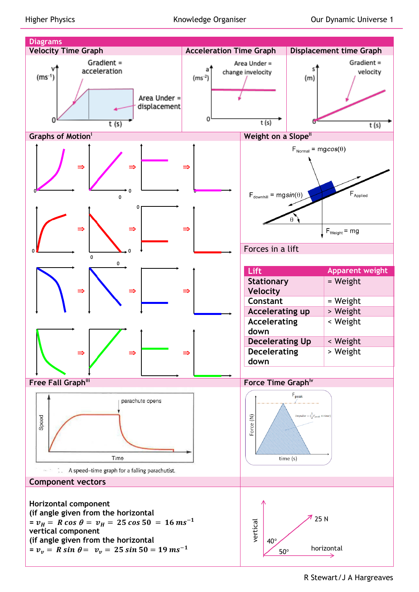